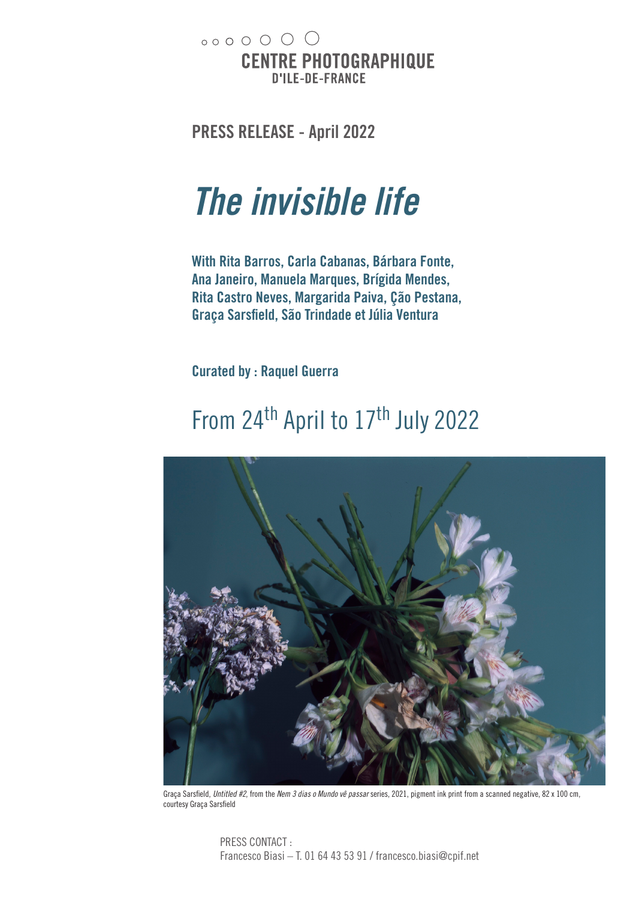$00000000$ **CENTRE PHOTOGRAPHIQUE D'ILE-DE-FRANCE** 

**PRESS RELEASE - April 2022**

# *The invisible life*

**With Rita Barros, Carla Cabanas, Bárbara Fonte, Ana Janeiro, Manuela Marques, Brígida Mendes, Rita Castro Neves, Margarida Paiva, Ção Pestana, Graça Sarsfield, São Trindade et Júlia Ventura**

**Curated by : Raquel Guerra**

### From 24<sup>th</sup> April to 17<sup>th</sup> July 2022



Graça Sarsfield, *Untitled #2*, from the *Nem 3 dias o Mundo vê passar* series, 2021, pigment ink print from a scanned negative, 82 x 100 cm, courtesy Graça Sarsfield

PRESS CONTACT : Francesco Biasi – T. 01 64 43 53 91 / francesco.biasi@cpif.net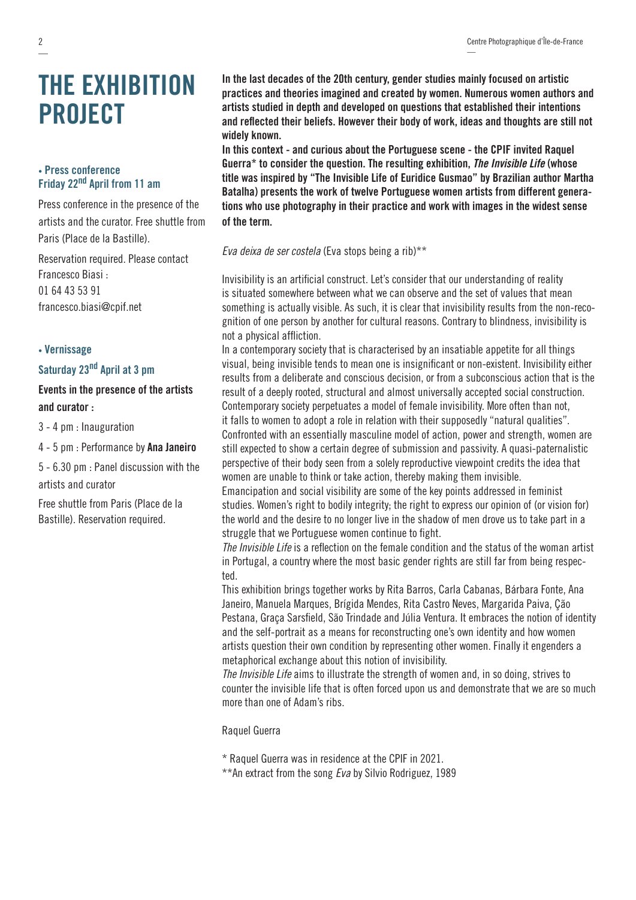—

## **THE EXHIBITION PROJECT**

#### **• Press conference Friday 22nd April from 11 am**

Press conference in the presence of the artists and the curator. Free shuttle from Paris (Place de la Bastille).

Reservation required. Please contact Francesco Biasi : 01 64 43 53 91 francesco.biasi@cpif.net

#### **• Vernissage**

#### **Saturday 23nd April at 3 pm**

#### **Events in the presence of the artists and curator :**

3 - 4 pm : Inauguration

4 - 5 pm : Performance by **Ana Janeiro**

5 - 6.30 pm : Panel discussion with the artists and curator

Free shuttle from Paris (Place de la Bastille). Reservation required.

**In the last decades of the 20th century, gender studies mainly focused on artistic practices and theories imagined and created by women. Numerous women authors and artists studied in depth and developed on questions that established their intentions and reflected their beliefs. However their body of work, ideas and thoughts are still not widely known.**

**In this context - and curious about the Portuguese scene - the CPIF invited Raquel Guerra\* to consider the question. The resulting exhibition,** *The Invisible Life* **(whose title was inspired by "The Invisible Life of Euridice Gusmao" by Brazilian author Martha Batalha) presents the work of twelve Portuguese women artists from different generations who use photography in their practice and work with images in the widest sense of the term.**

*Eva deixa de ser costela* (Eva stops being a rib)\*\*

Invisibility is an artificial construct. Let's consider that our understanding of reality is situated somewhere between what we can observe and the set of values that mean something is actually visible. As such, it is clear that invisibility results from the non-recognition of one person by another for cultural reasons. Contrary to blindness, invisibility is not a physical affliction.

In a contemporary society that is characterised by an insatiable appetite for all things visual, being invisible tends to mean one is insignificant or non-existent. Invisibility either results from a deliberate and conscious decision, or from a subconscious action that is the result of a deeply rooted, structural and almost universally accepted social construction. Contemporary society perpetuates a model of female invisibility. More often than not, it falls to women to adopt a role in relation with their supposedly "natural qualities". Confronted with an essentially masculine model of action, power and strength, women are still expected to show a certain degree of submission and passivity. A quasi-paternalistic perspective of their body seen from a solely reproductive viewpoint credits the idea that women are unable to think or take action, thereby making them invisible.

Emancipation and social visibility are some of the key points addressed in feminist studies. Women's right to bodily integrity; the right to express our opinion of (or vision for) the world and the desire to no longer live in the shadow of men drove us to take part in a struggle that we Portuguese women continue to fight.

*The Invisible Life* is a reflection on the female condition and the status of the woman artist in Portugal, a country where the most basic gender rights are still far from being respected.

This exhibition brings together works by Rita Barros, Carla Cabanas, Bárbara Fonte, Ana Janeiro, Manuela Marques, Brígida Mendes, Rita Castro Neves, Margarida Paiva, Ção Pestana, Graça Sarsfield, São Trindade and Júlia Ventura. It embraces the notion of identity and the self-portrait as a means for reconstructing one's own identity and how women artists question their own condition by representing other women. Finally it engenders a metaphorical exchange about this notion of invisibility.

*The Invisible Life* aims to illustrate the strength of women and, in so doing, strives to counter the invisible life that is often forced upon us and demonstrate that we are so much more than one of Adam's ribs.

#### Raquel Guerra

\* Raquel Guerra was in residence at the CPIF in 2021.

\*\*An extract from the song *Eva* by Silvio Rodriguez, 1989